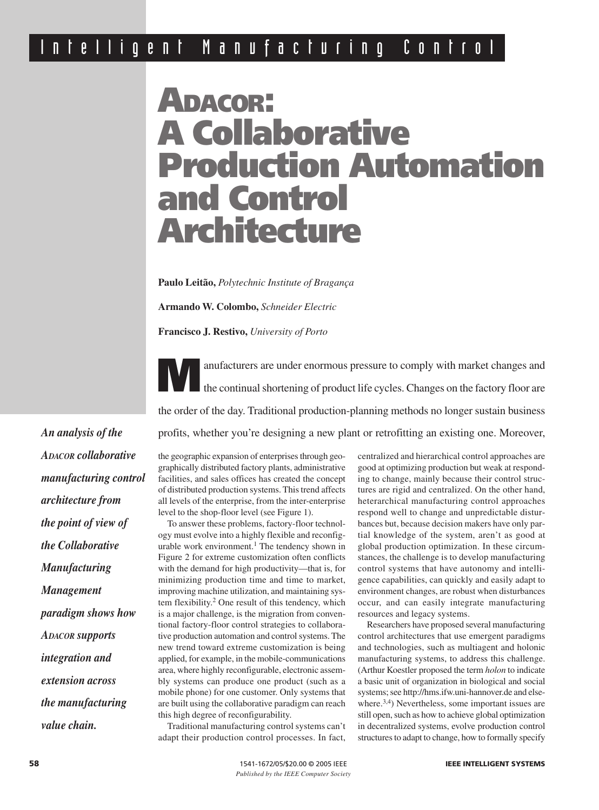## Intelligent Manufacturing Control

# **ADACOR: A Collaborative Production Automation and Control Architecture**

**Paulo Leitão,** *Polytechnic Institute of Bragança*

**Armando W. Colombo,** *Schneider Electric*

**Francisco J. Restivo,** *University of Porto*

**M**anufacturers are under enormous pressure to comply with market changes and the continual shortening of product life cycles. Changes on the factory floor are the order of the day. Traditional production-planning methods no longer sustain business profits, whether you're designing a new plant or retrofitting an existing one. Moreover,

*An analysis of the ADACOR collaborative manufacturing control architecture from the point of view of the Collaborative Manufacturing Management paradigm shows how ADACOR supports integration and extension across the manufacturing*

*value chain.*

the geographic expansion of enterprises through geographically distributed factory plants, administrative facilities, and sales offices has created the concept of distributed production systems. This trend affects all levels of the enterprise, from the inter-enterprise level to the shop-floor level (see Figure 1).

To answer these problems, factory-floor technology must evolve into a highly flexible and reconfigurable work environment.<sup>1</sup> The tendency shown in Figure 2 for extreme customization often conflicts with the demand for high productivity—that is, for minimizing production time and time to market, improving machine utilization, and maintaining system flexibility.<sup>2</sup> One result of this tendency, which is a major challenge, is the migration from conventional factory-floor control strategies to collaborative production automation and control systems. The new trend toward extreme customization is being applied, for example, in the mobile-communications area, where highly reconfigurable, electronic assembly systems can produce one product (such as a mobile phone) for one customer. Only systems that are built using the collaborative paradigm can reach this high degree of reconfigurability.

Traditional manufacturing control systems can't adapt their production control processes. In fact,

centralized and hierarchical control approaches are good at optimizing production but weak at responding to change, mainly because their control structures are rigid and centralized. On the other hand, heterarchical manufacturing control approaches respond well to change and unpredictable disturbances but, because decision makers have only partial knowledge of the system, aren't as good at global production optimization. In these circumstances, the challenge is to develop manufacturing control systems that have autonomy and intelligence capabilities, can quickly and easily adapt to environment changes, are robust when disturbances occur, and can easily integrate manufacturing resources and legacy systems.

Researchers have proposed several manufacturing control architectures that use emergent paradigms and technologies, such as multiagent and holonic manufacturing systems, to address this challenge. (Arthur Koestler proposed the term *holon* to indicate a basic unit of organization in biological and social systems; see http://hms.ifw.uni-hannover.de and elsewhere.<sup>3,4</sup>) Nevertheless, some important issues are still open, such as how to achieve global optimization in decentralized systems, evolve production control structures to adapt to change, how to formally specify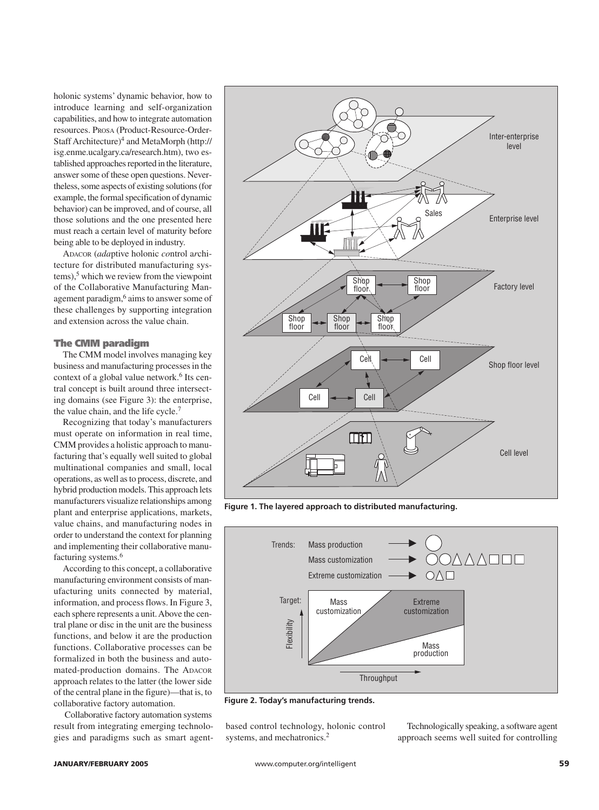holonic systems' dynamic behavior, how to introduce learning and self-organization capabilities, and how to integrate automation resources. PROSA (Product-Resource-Order-Staff Architecture)4 and MetaMorph (http:// isg.enme.ucalgary.ca/research.htm), two established approaches reported in the literature, answer some of these open questions. Nevertheless, some aspects of existing solutions (for example, the formal specification of dynamic behavior) can be improved, and of course, all those solutions and the one presented here must reach a certain level of maturity before being able to be deployed in industry.

ADACOR (*ada*ptive holonic *co*ntrol a*r*chitecture for distributed manufacturing sys $tems$ ),<sup>5</sup> which we review from the viewpoint of the Collaborative Manufacturing Management paradigm,<sup>6</sup> aims to answer some of these challenges by supporting integration and extension across the value chain.

#### **The CMM paradigm**

The CMM model involves managing key business and manufacturing processes in the context of a global value network.<sup>6</sup> Its central concept is built around three intersecting domains (see Figure 3): the enterprise, the value chain, and the life cycle.<sup>7</sup>

Recognizing that today's manufacturers must operate on information in real time, CMM provides a holistic approach to manufacturing that's equally well suited to global multinational companies and small, local operations, as well as to process, discrete, and hybrid production models. This approach lets manufacturers visualize relationships among plant and enterprise applications, markets, value chains, and manufacturing nodes in order to understand the context for planning and implementing their collaborative manufacturing systems.<sup>6</sup>

According to this concept, a collaborative manufacturing environment consists of manufacturing units connected by material, information, and process flows. In Figure 3, each sphere represents a unit. Above the central plane or disc in the unit are the business functions, and below it are the production functions. Collaborative processes can be formalized in both the business and automated-production domains. The ADACOR approach relates to the latter (the lower side of the central plane in the figure)—that is, to collaborative factory automation.

Collaborative factory automation systems result from integrating emerging technologies and paradigms such as smart agent-



**Figure 1. The layered approach to distributed manufacturing.**



**Figure 2. Today's manufacturing trends.**

based control technology, holonic control systems, and mechatronics.<sup>2</sup>

Technologically speaking, a software agent approach seems well suited for controlling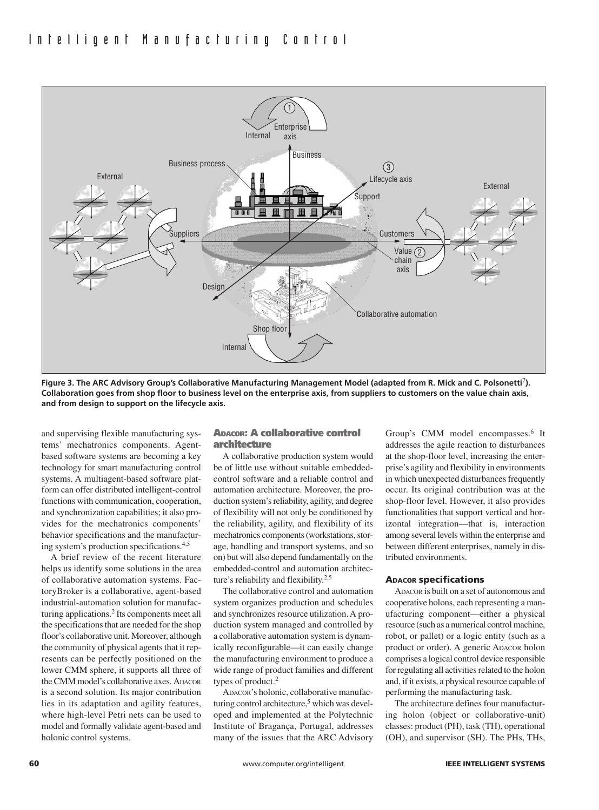

**Figure 3. The ARC Advisory Group's Collaborative Manufacturing Management Model (adapted from R. Mick and C. Polsonetti**7**). Collaboration goes from shop floor to business level on the enterprise axis, from suppliers to customers on the value chain axis, and from design to support on the lifecycle axis.**

and supervising flexible manufacturing systems' mechatronics components. Agentbased software systems are becoming a key technology for smart manufacturing control systems. A multiagent-based software platform can offer distributed intelligent-control functions with communication, cooperation, and synchronization capabilities; it also provides for the mechatronics components' behavior specifications and the manufacturing system's production specifications.4,5

A brief review of the recent literature helps us identify some solutions in the area of collaborative automation systems. FactoryBroker is a collaborative, agent-based industrial-automation solution for manufacturing applications.<sup>2</sup> Its components meet all the specifications that are needed for the shop floor's collaborative unit. Moreover, although the community of physical agents that it represents can be perfectly positioned on the lower CMM sphere, it supports all three of the CMM model's collaborative axes. ADACOR is a second solution. Its major contribution lies in its adaptation and agility features, where high-level Petri nets can be used to model and formally validate agent-based and holonic control systems.

#### **ADACOR: A collaborative control architecture**

A collaborative production system would be of little use without suitable embeddedcontrol software and a reliable control and automation architecture. Moreover, the production system's reliability, agility, and degree of flexibility will not only be conditioned by the reliability, agility, and flexibility of its mechatronics components (workstations, storage, handling and transport systems, and so on) but will also depend fundamentally on the embedded-control and automation architecture's reliability and flexibility.<sup>2,5</sup>

The collaborative control and automation system organizes production and schedules and synchronizes resource utilization. A production system managed and controlled by a collaborative automation system is dynamically reconfigurable—it can easily change the manufacturing environment to produce a wide range of product families and different types of product.<sup>2</sup>

ADACOR's holonic, collaborative manufacturing control architecture,<sup>5</sup> which was developed and implemented at the Polytechnic Institute of Bragança, Portugal, addresses many of the issues that the ARC Advisory

Group's CMM model encompasses.<sup>6</sup> It addresses the agile reaction to disturbances at the shop-floor level, increasing the enterprise's agility and flexibility in environments in which unexpected disturbances frequently occur. Its original contribution was at the shop-floor level. However, it also provides functionalities that support vertical and horizontal integration—that is, interaction among several levels within the enterprise and between different enterprises, namely in distributed environments.

#### **ADACOR specifications**

ADACOR is built on a set of autonomous and cooperative holons, each representing a manufacturing component—either a physical resource (such as a numerical control machine, robot, or pallet) or a logic entity (such as a product or order). A generic ADACOR holon comprises a logical control device responsible for regulating all activities related to the holon and, if it exists, a physical resource capable of performing the manufacturing task.

The architecture defines four manufacturing holon (object or collaborative-unit) classes: product (PH), task (TH), operational (OH), and supervisor (SH). The PHs, THs,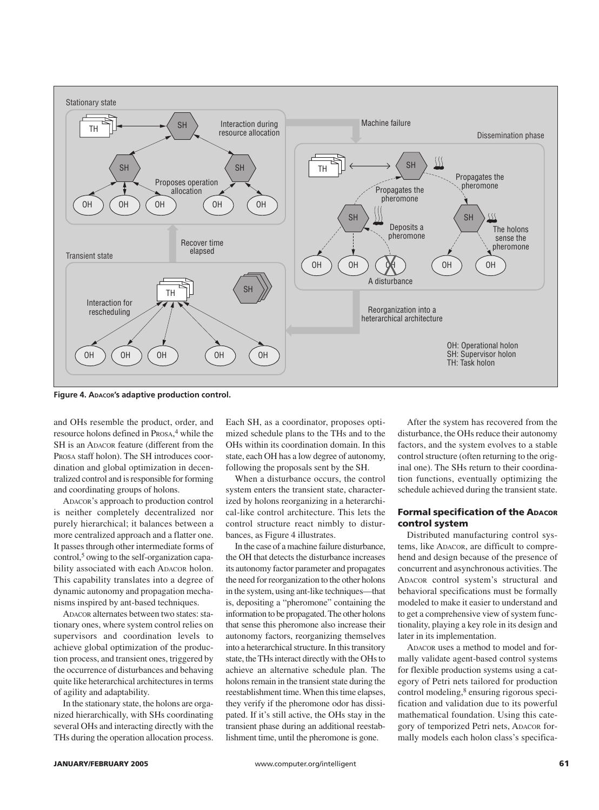

**Figure 4. ADACOR's adaptive production control.**

and OHs resemble the product, order, and resource holons defined in PROSA, <sup>4</sup> while the SH is an ADACOR feature (different from the PROSA staff holon). The SH introduces coordination and global optimization in decentralized control and is responsible for forming and coordinating groups of holons.

ADACOR's approach to production control is neither completely decentralized nor purely hierarchical; it balances between a more centralized approach and a flatter one. It passes through other intermediate forms of control,<sup>5</sup> owing to the self-organization capability associated with each ADACOR holon. This capability translates into a degree of dynamic autonomy and propagation mechanisms inspired by ant-based techniques.

ADACOR alternates between two states: stationary ones, where system control relies on supervisors and coordination levels to achieve global optimization of the production process, and transient ones, triggered by the occurrence of disturbances and behaving quite like heterarchical architectures in terms of agility and adaptability.

In the stationary state, the holons are organized hierarchically, with SHs coordinating several OHs and interacting directly with the THs during the operation allocation process. Each SH, as a coordinator, proposes optimized schedule plans to the THs and to the OHs within its coordination domain. In this state, each OH has a low degree of autonomy, following the proposals sent by the SH.

When a disturbance occurs, the control system enters the transient state, characterized by holons reorganizing in a heterarchical-like control architecture. This lets the control structure react nimbly to disturbances, as Figure 4 illustrates.

In the case of a machine failure disturbance, the OH that detects the disturbance increases its autonomy factor parameter and propagates the need for reorganization to the other holons in the system, using ant-like techniques—that is, depositing a "pheromone" containing the information to be propagated. The other holons that sense this pheromone also increase their autonomy factors, reorganizing themselves into a heterarchical structure. In this transitory state, the THs interact directly with the OHs to achieve an alternative schedule plan. The holons remain in the transient state during the reestablishment time. When this time elapses, they verify if the pheromone odor has dissipated. If it's still active, the OHs stay in the transient phase during an additional reestablishment time, until the pheromone is gone.

After the system has recovered from the disturbance, the OHs reduce their autonomy factors, and the system evolves to a stable control structure (often returning to the original one). The SHs return to their coordination functions, eventually optimizing the schedule achieved during the transient state.

#### **Formal specification of the ADACOR control system**

Distributed manufacturing control systems, like ADACOR, are difficult to comprehend and design because of the presence of concurrent and asynchronous activities. The ADACOR control system's structural and behavioral specifications must be formally modeled to make it easier to understand and to get a comprehensive view of system functionality, playing a key role in its design and later in its implementation.

ADACOR uses a method to model and formally validate agent-based control systems for flexible production systems using a category of Petri nets tailored for production control modeling,<sup>8</sup> ensuring rigorous specification and validation due to its powerful mathematical foundation. Using this category of temporized Petri nets, ADACOR formally models each holon class's specifica-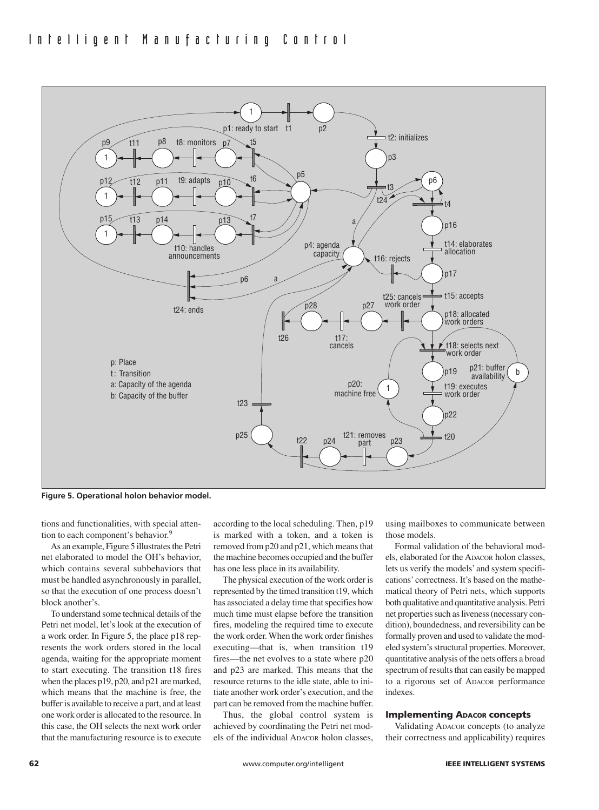

**Figure 5. Operational holon behavior model.**

tions and functionalities, with special attention to each component's behavior.<sup>9</sup>

As an example, Figure 5 illustrates the Petri net elaborated to model the OH's behavior, which contains several subbehaviors that must be handled asynchronously in parallel, so that the execution of one process doesn't block another's.

To understand some technical details of the Petri net model, let's look at the execution of a work order. In Figure 5, the place p18 represents the work orders stored in the local agenda, waiting for the appropriate moment to start executing. The transition t18 fires when the places p19, p20, and p21 are marked, which means that the machine is free, the buffer is available to receive a part, and at least one work order is allocated to the resource. In this case, the OH selects the next work order that the manufacturing resource is to execute

according to the local scheduling. Then, p19 is marked with a token, and a token is removed from p20 and p21, which means that the machine becomes occupied and the buffer has one less place in its availability.

The physical execution of the work order is represented by the timed transition t19, which has associated a delay time that specifies how much time must elapse before the transition fires, modeling the required time to execute the work order. When the work order finishes executing—that is, when transition t19 fires—the net evolves to a state where p20 and p23 are marked. This means that the resource returns to the idle state, able to initiate another work order's execution, and the part can be removed from the machine buffer.

Thus, the global control system is achieved by coordinating the Petri net models of the individual ADACOR holon classes, using mailboxes to communicate between those models.

Formal validation of the behavioral models, elaborated for the ADACOR holon classes, lets us verify the models' and system specifications' correctness. It's based on the mathematical theory of Petri nets, which supports both qualitative and quantitative analysis. Petri net properties such as liveness (necessary condition), boundedness, and reversibility can be formally proven and used to validate the modeled system's structural properties. Moreover, quantitative analysis of the nets offers a broad spectrum of results that can easily be mapped to a rigorous set of ADACOR performance indexes.

#### **Implementing ADACOR concepts**

Validating ADACOR concepts (to analyze their correctness and applicability) requires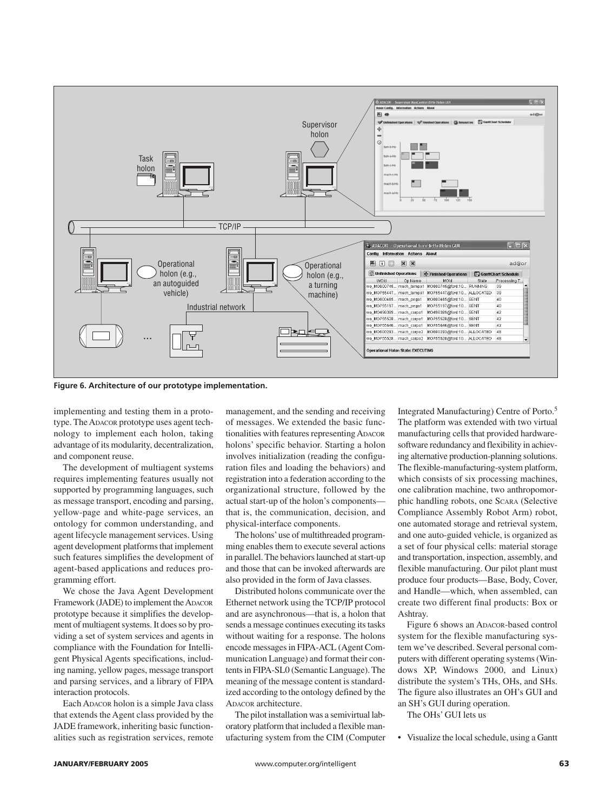

**Figure 6. Architecture of our prototype implementation.**

implementing and testing them in a prototype. The ADACOR prototype uses agent technology to implement each holon, taking advantage of its modularity, decentralization, and component reuse.

The development of multiagent systems requires implementing features usually not supported by programming languages, such as message transport, encoding and parsing, yellow-page and white-page services, an ontology for common understanding, and agent lifecycle management services. Using agent development platforms that implement such features simplifies the development of agent-based applications and reduces programming effort.

We chose the Java Agent Development Framework (JADE) to implement the ADACOR prototype because it simplifies the development of multiagent systems. It does so by providing a set of system services and agents in compliance with the Foundation for Intelligent Physical Agents specifications, including naming, yellow pages, message transport and parsing services, and a library of FIPA interaction protocols.

Each ADACOR holon is a simple Java class that extends the Agent class provided by the JADE framework, inheriting basic functionalities such as registration services, remote

management, and the sending and receiving of messages. We extended the basic functionalities with features representing ADACOR holons' specific behavior. Starting a holon involves initialization (reading the configuration files and loading the behaviors) and registration into a federation according to the organizational structure, followed by the actual start-up of the holon's components that is, the communication, decision, and physical-interface components.

The holons'use of multithreaded programming enables them to execute several actions in parallel. The behaviors launched at start-up and those that can be invoked afterwards are also provided in the form of Java classes.

Distributed holons communicate over the Ethernet network using the TCP/IP protocol and are asynchronous—that is, a holon that sends a message continues executing its tasks without waiting for a response. The holons encode messages in FIPA-ACL (Agent Communication Language) and format their contents in FIPA-SL0 (Semantic Language). The meaning of the message content is standardized according to the ontology defined by the ADACOR architecture.

The pilot installation was a semivirtual laboratory platform that included a flexible manufacturing system from the CIM (Computer Integrated Manufacturing) Centre of Porto.5 The platform was extended with two virtual manufacturing cells that provided hardwaresoftware redundancy and flexibility in achieving alternative production-planning solutions. The flexible-manufacturing-system platform, which consists of six processing machines, one calibration machine, two anthropomorphic handling robots, one SCARA (Selective Compliance Assembly Robot Arm) robot, one automated storage and retrieval system, and one auto-guided vehicle, is organized as a set of four physical cells: material storage and transportation, inspection, assembly, and flexible manufacturing. Our pilot plant must produce four products—Base, Body, Cover, and Handle—which, when assembled, can create two different final products: Box or Ashtray.

Figure 6 shows an ADACOR-based control system for the flexible manufacturing system we've described. Several personal computers with different operating systems (Windows XP, Windows 2000, and Linux) distribute the system's THs, OHs, and SHs. The figure also illustrates an OH's GUI and an SH's GUI during operation.

The OHs' GUI lets us

• Visualize the local schedule, using a Gantt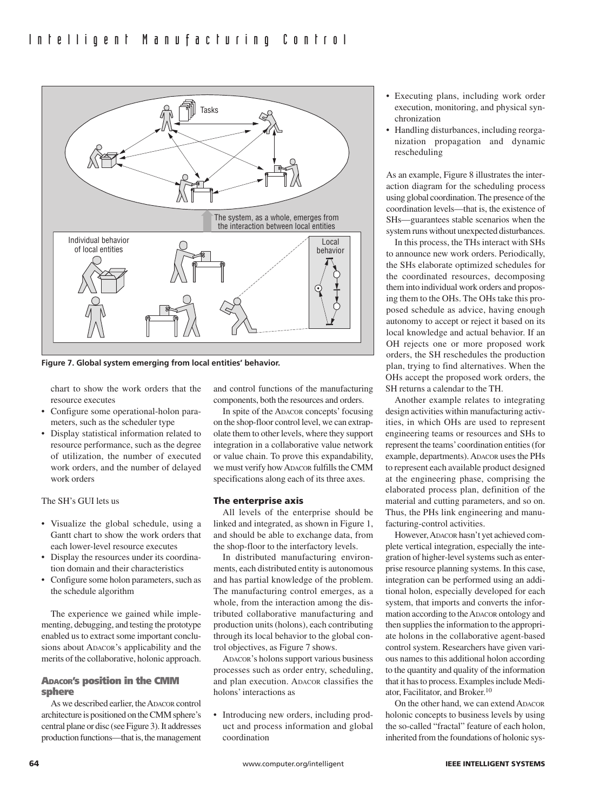

**Figure 7. Global system emerging from local entities' behavior.**

chart to show the work orders that the resource executes

- Configure some operational-holon parameters, such as the scheduler type
- Display statistical information related to resource performance, such as the degree of utilization, the number of executed work orders, and the number of delayed work orders

#### The SH's GUI lets us

- Visualize the global schedule, using a Gantt chart to show the work orders that each lower-level resource executes
- Display the resources under its coordination domain and their characteristics
- Configure some holon parameters, such as the schedule algorithm

The experience we gained while implementing, debugging, and testing the prototype enabled us to extract some important conclusions about ADACOR's applicability and the merits of the collaborative, holonic approach.

#### **ADACOR's position in the CMM sphere**

As we described earlier, the ADACOR control architecture is positioned on the CMM sphere's central plane or disc (see Figure 3). It addresses production functions—that is, the management and control functions of the manufacturing components, both the resources and orders.

In spite of the ADACOR concepts' focusing on the shop-floor control level, we can extrapolate them to other levels, where they support integration in a collaborative value network or value chain. To prove this expandability, we must verify how ADACOR fulfills the CMM specifications along each of its three axes.

#### **The enterprise axis**

All levels of the enterprise should be linked and integrated, as shown in Figure 1, and should be able to exchange data, from the shop-floor to the interfactory levels.

In distributed manufacturing environments, each distributed entity is autonomous and has partial knowledge of the problem. The manufacturing control emerges, as a whole, from the interaction among the distributed collaborative manufacturing and production units (holons), each contributing through its local behavior to the global control objectives, as Figure 7 shows.

ADACOR's holons support various business processes such as order entry, scheduling, and plan execution. ADACOR classifies the holons' interactions as

• Introducing new orders, including product and process information and global coordination

- Executing plans, including work order execution, monitoring, and physical synchronization
- Handling disturbances, including reorganization propagation and dynamic rescheduling

As an example, Figure 8 illustrates the interaction diagram for the scheduling process using global coordination. The presence of the coordination levels—that is, the existence of SHs—guarantees stable scenarios when the system runs without unexpected disturbances.

In this process, the THs interact with SHs to announce new work orders. Periodically, the SHs elaborate optimized schedules for the coordinated resources, decomposing them into individual work orders and proposing them to the OHs. The OHs take this proposed schedule as advice, having enough autonomy to accept or reject it based on its local knowledge and actual behavior. If an OH rejects one or more proposed work orders, the SH reschedules the production plan, trying to find alternatives. When the OHs accept the proposed work orders, the SH returns a calendar to the TH.

Another example relates to integrating design activities within manufacturing activities, in which OHs are used to represent engineering teams or resources and SHs to represent the teams'coordination entities (for example, departments). ADACOR uses the PHs to represent each available product designed at the engineering phase, comprising the elaborated process plan, definition of the material and cutting parameters, and so on. Thus, the PHs link engineering and manufacturing-control activities.

However,ADACOR hasn't yet achieved complete vertical integration, especially the integration of higher-level systems such as enterprise resource planning systems. In this case, integration can be performed using an additional holon, especially developed for each system, that imports and converts the information according to the ADACOR ontology and then supplies the information to the appropriate holons in the collaborative agent-based control system. Researchers have given various names to this additional holon according to the quantity and quality of the information that it has to process. Examples include Mediator, Facilitator, and Broker.<sup>10</sup>

On the other hand, we can extend ADACOR holonic concepts to business levels by using the so-called "fractal" feature of each holon, inherited from the foundations of holonic sys-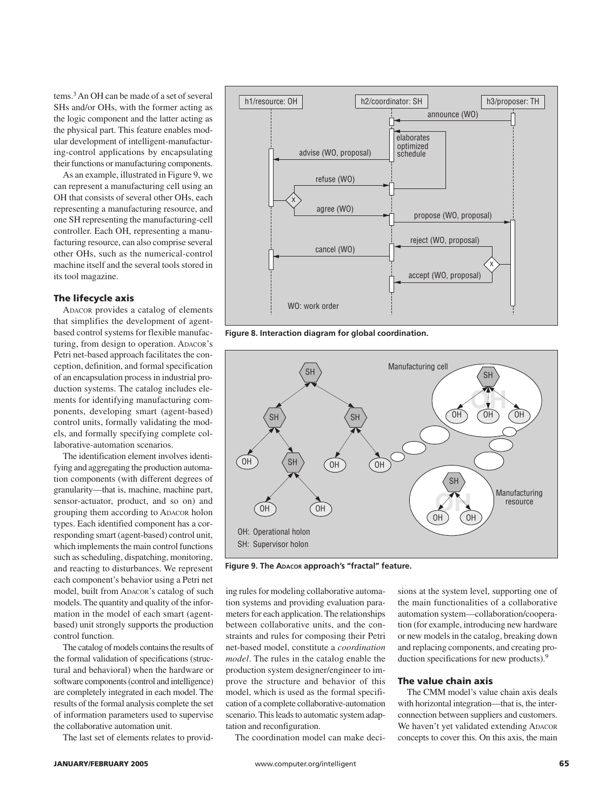tems.3An OH can be made of a set of several SHs and/or OHs, with the former acting as the logic component and the latter acting as the physical part. This feature enables modular development of intelligent-manufacturing-control applications by encapsulating their functions or manufacturing components.

As an example, illustrated in Figure 9, we can represent a manufacturing cell using an OH that consists of several other OHs, each representing a manufacturing resource, and one SH representing the manufacturing-cell controller. Each OH, representing a manufacturing resource, can also comprise several other OHs, such as the numerical-control machine itself and the several tools stored in its tool magazine.

#### **The lifecycle axis**

ADACOR provides a catalog of elements that simplifies the development of agentbased control systems for flexible manufacturing, from design to operation. ADACOR's Petri net-based approach facilitates the conception, definition, and formal specification of an encapsulation process in industrial production systems. The catalog includes elements for identifying manufacturing components, developing smart (agent-based) control units, formally validating the models, and formally specifying complete collaborative-automation scenarios.

The identification element involves identifying and aggregating the production automation components (with different degrees of granularity—that is, machine, machine part, sensor-actuator, product, and so on) and grouping them according to ADACOR holon types. Each identified component has a corresponding smart (agent-based) control unit, which implements the main control functions such as scheduling, dispatching, monitoring, and reacting to disturbances. We represent each component's behavior using a Petri net model, built from ADACOR's catalog of such models. The quantity and quality of the information in the model of each smart (agentbased) unit strongly supports the production control function.

The catalog of models contains the results of the formal validation of specifications (structural and behavioral) when the hardware or software components (control and intelligence) are completely integrated in each model. The results of the formal analysis complete the set of information parameters used to supervise the collaborative automation unit.

The last set of elements relates to provid-



**Figure 8. Interaction diagram for global coordination.**



**Figure 9. The ADACOR approach's "fractal" feature.**

ing rules for modeling collaborative automation systems and providing evaluation parameters for each application. The relationships between collaborative units, and the constraints and rules for composing their Petri net-based model, constitute a *coordination model*. The rules in the catalog enable the production system designer/engineer to improve the structure and behavior of this model, which is used as the formal specification of a complete collaborative-automation scenario. This leads to automatic system adaptation and reconfiguration.

The coordination model can make deci-

sions at the system level, supporting one of the main functionalities of a collaborative automation system—collaboration/cooperation (for example, introducing new hardware or new models in the catalog, breaking down and replacing components, and creating production specifications for new products).<sup>9</sup>

#### **The value chain axis**

The CMM model's value chain axis deals with horizontal integration—that is, the interconnection between suppliers and customers. We haven't yet validated extending ADACOR concepts to cover this. On this axis, the main